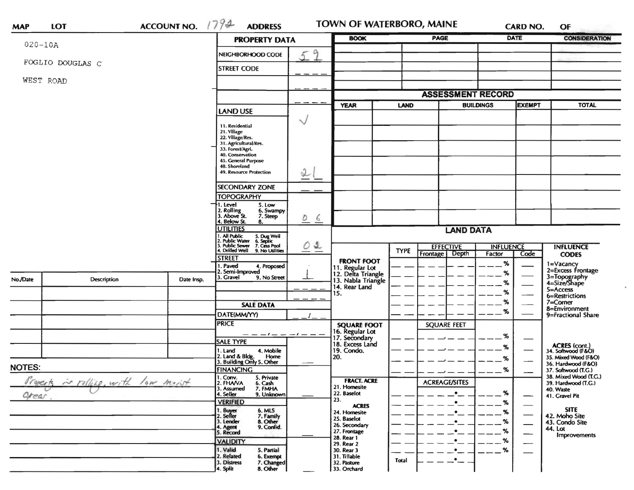| <b>MAP</b>                                     | <b>LOT</b>       | ACCOUNT NO. $1794$                             | <b>ADDRESS</b>                                                                                                                        |                      | <b>BOOK</b>                                                 |                                 | <b>TOWN OF WATERBORO, MAINE</b>    |                            | <b>CARD NO.</b>          | OF                                        |
|------------------------------------------------|------------------|------------------------------------------------|---------------------------------------------------------------------------------------------------------------------------------------|----------------------|-------------------------------------------------------------|---------------------------------|------------------------------------|----------------------------|--------------------------|-------------------------------------------|
| $020 - 10A$                                    |                  |                                                |                                                                                                                                       | <b>PROPERTY DATA</b> |                                                             |                                 | <b>PAGE</b>                        |                            | DATE                     | <b>CONSIDERATION</b>                      |
|                                                | FOGLIO DOUGLAS C | NEIGHBORHOOD CODE                              | 9<br>5                                                                                                                                |                      |                                                             |                                 |                                    |                            |                          |                                           |
|                                                |                  |                                                | <b>STREET CODE</b>                                                                                                                    |                      |                                                             |                                 |                                    |                            |                          |                                           |
|                                                | WEST ROAD        |                                                |                                                                                                                                       |                      |                                                             |                                 |                                    |                            |                          |                                           |
|                                                |                  |                                                |                                                                                                                                       |                      |                                                             |                                 | <b>ASSESSMENT RECORD</b>           |                            |                          |                                           |
|                                                |                  |                                                | <b>LAND USE</b>                                                                                                                       | <b>YEAR</b>          |                                                             | <b>BUILDINGS</b><br><b>LAND</b> |                                    | <b>EXEMPT</b>              |                          | <b>TOTAL</b>                              |
|                                                |                  |                                                | 11. Residential                                                                                                                       | $\checkmark$         |                                                             |                                 |                                    |                            |                          |                                           |
|                                                |                  |                                                | 21. Village                                                                                                                           |                      |                                                             |                                 |                                    |                            |                          |                                           |
|                                                |                  |                                                | 22. Village/Res.<br>31. Agricultural/Res.                                                                                             |                      |                                                             |                                 |                                    |                            |                          |                                           |
|                                                |                  |                                                | 33. Forest/Agri.<br>40. Conservation                                                                                                  |                      |                                                             |                                 |                                    |                            |                          |                                           |
|                                                |                  |                                                | 45. General Purpose<br>48. Shoreland                                                                                                  |                      |                                                             |                                 |                                    |                            |                          |                                           |
|                                                |                  |                                                | 49. Resource Protection                                                                                                               | I                    |                                                             |                                 |                                    |                            |                          |                                           |
|                                                |                  |                                                | <b>SECONDARY ZONE</b>                                                                                                                 |                      |                                                             |                                 |                                    |                            |                          |                                           |
|                                                |                  |                                                | <b>TOPOGRAPHY</b>                                                                                                                     |                      |                                                             |                                 |                                    |                            |                          |                                           |
|                                                |                  |                                                | 1. Level<br>5. Low<br>2. Rolling<br>3. Above St.<br>6. Swampy                                                                         |                      |                                                             |                                 |                                    |                            |                          |                                           |
|                                                |                  |                                                | 7. Steep<br>4. Below St.<br>8.                                                                                                        | $\circ$<br>6         |                                                             |                                 |                                    |                            |                          |                                           |
|                                                |                  |                                                | <b>UTILITIES</b>                                                                                                                      | <b>LAND DATA</b>     |                                                             |                                 |                                    |                            |                          |                                           |
|                                                |                  |                                                | 1. All Public<br>2. Public Water<br>3. Public Sewer<br>4. Drilled Well<br>5. Dug Well<br>6. Septic<br>7. Cess Pool<br>9. No Utilities | 01                   |                                                             |                                 |                                    |                            |                          |                                           |
|                                                |                  |                                                |                                                                                                                                       |                      |                                                             | <b>TYPE</b>                     | <b>EFFECTIVE</b><br>Frontage Depth | <b>INFLUENCE</b><br>Factor |                          | <b>INFLUENCE</b><br><b>CODES</b>          |
|                                                |                  |                                                | <b>STREET</b>                                                                                                                         |                      | <b>FRONT FOOT</b>                                           |                                 |                                    | %                          | Code                     | 1=Vacancy                                 |
|                                                |                  |                                                | 1. Paved<br>4. Proposed<br>2. Semi-Improved                                                                                           |                      |                                                             |                                 |                                    | %                          |                          | 2=Excess Frontage                         |
| No./Date                                       | Description      | Date Insp.                                     | 3. Gravel<br>9. No Street                                                                                                             |                      | 11. Regular Lot<br>12. Delta Triangle<br>13. Nabla Triangle |                                 |                                    | %                          |                          | 3=Topography<br>4=Size/Shape              |
|                                                |                  |                                                |                                                                                                                                       |                      | 14. Rear Land<br>15.                                        |                                 |                                    | %                          |                          | 5=Access                                  |
|                                                |                  |                                                |                                                                                                                                       |                      |                                                             |                                 |                                    | %                          |                          | 6=Restrictions<br>$7 =$ Corner            |
|                                                |                  |                                                | <b>SALE DATA</b>                                                                                                                      |                      |                                                             |                                 |                                    | %                          |                          | 8=Environment                             |
|                                                |                  |                                                | DATE(MM/YY)<br><b>PRICE</b>                                                                                                           |                      |                                                             |                                 |                                    |                            |                          | 9=Fractional Share                        |
|                                                |                  |                                                |                                                                                                                                       |                      | <b>SQUARE FOOT</b>                                          |                                 | <b>SQUARE FEET</b>                 |                            |                          |                                           |
|                                                |                  |                                                | <b>SALE TYPE</b>                                                                                                                      | $-1 - -$             | 16. Regular Lot<br>17. Secondary<br>18. Excess Land         |                                 |                                    | %                          |                          |                                           |
|                                                |                  |                                                | 4. Mobile<br>1. Land                                                                                                                  |                      | 19. Condo.                                                  |                                 |                                    | %                          |                          | ACRES (cont.)<br>34. Softwood (F&O)       |
|                                                |                  |                                                | 2. Land & Bldg. Home<br>3. Building Only 5. Other<br>Home                                                                             |                      | 20.                                                         |                                 |                                    | %                          |                          | 35. Mixed Wood (F&O)                      |
| <b>NOTES:</b>                                  |                  |                                                | <b>FINANCING</b>                                                                                                                      |                      |                                                             |                                 |                                    | %                          |                          | 36. Hardwood (F&O)<br>37. Softwood (T.G.) |
|                                                |                  | 1. Conv.<br>2. FHA/VA<br>5. Private<br>6. Cash |                                                                                                                                       | <b>FRACT. ACRE</b>   |                                                             | <b>ACREAGE/SITES</b>            |                                    |                            | 38. Mixed Wood (T.G.)    |                                           |
| is rolling, with low moist<br>Typerty<br>arear |                  |                                                | 3. Assumed<br>7. FMHA                                                                                                                 |                      | 21. Homesite                                                |                                 |                                    | %                          |                          | 39. Hardwood (T.G.)<br>40. Waste          |
|                                                |                  |                                                | 4. Seller<br>9. Unknown<br><b>VERIFIED</b>                                                                                            |                      | 22. Baselot<br>23.                                          |                                 |                                    | %                          |                          | 41. Gravel Pit                            |
|                                                |                  |                                                |                                                                                                                                       |                      | <b>ACRES</b><br>24. Homesite                                |                                 |                                    | %                          |                          | <b>SITE</b>                               |
| 4. Split                                       |                  |                                                | 1. Buyer<br>2. Seller<br>6. MLS<br>7. Family<br>3. Lender<br>8. Other                                                                 |                      | 25. Baselot                                                 |                                 | $\bullet$                          | %                          |                          | 42. Moho Site<br>43. Condo Site           |
|                                                |                  |                                                | 9. Confid.<br>4. Agent                                                                                                                |                      | 26. Secondary<br>27. Frontage                               |                                 |                                    | %                          | $\overline{\phantom{0}}$ | 44. Lot                                   |
|                                                |                  |                                                | 5. Record                                                                                                                             |                      | 28. Rear 1                                                  |                                 |                                    | ℅                          |                          | <b>Improvements</b>                       |
|                                                |                  |                                                | <b>VALIDITY</b><br>1. Valid<br>5. Partial                                                                                             |                      | 29. Rear 2<br>30. Rear 3                                    |                                 |                                    | $\%$                       | —<br>——                  |                                           |
|                                                |                  |                                                | 2. Related<br>6. Exempt                                                                                                               |                      | 31. Tillable                                                | Total                           | $\bullet$                          |                            |                          |                                           |
|                                                |                  |                                                | 3. Distress<br>7. Changed                                                                                                             |                      | 32. Pasture                                                 |                                 |                                    |                            |                          |                                           |